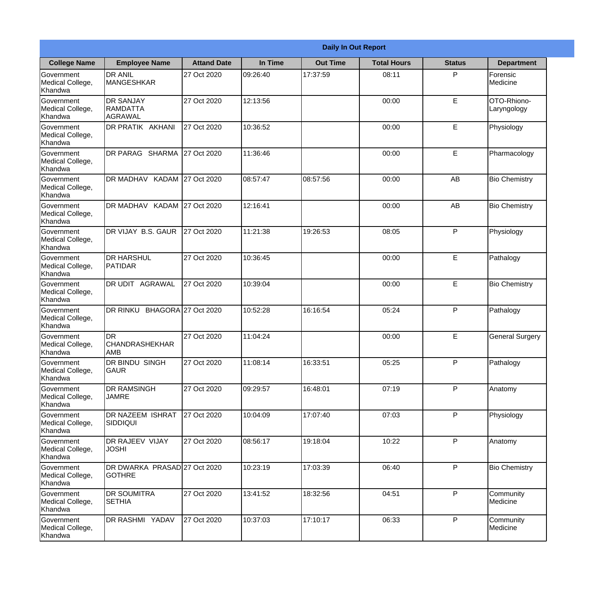|                                                  |                                                       |                     |          | <b>Daily In Out Report</b> |                    |               |                            |
|--------------------------------------------------|-------------------------------------------------------|---------------------|----------|----------------------------|--------------------|---------------|----------------------------|
| <b>College Name</b>                              | <b>Employee Name</b>                                  | <b>Attand Date</b>  | In Time  | <b>Out Time</b>            | <b>Total Hours</b> | <b>Status</b> | <b>Department</b>          |
| Government<br>Medical College,<br>Khandwa        | <b>DR ANIL</b><br><b>MANGESHKAR</b>                   | 27 Oct 2020         | 09:26:40 | 17:37:59                   | 08:11              | P             | Forensic<br>Medicine       |
| Government<br>Medical College,<br>Khandwa        | <b>DR SANJAY</b><br><b>RAMDATTA</b><br><b>AGRAWAL</b> | 27 Oct 2020         | 12:13:56 |                            | 00:00              | $\mathsf E$   | OTO-Rhiono-<br>Laryngology |
| <b>Government</b><br>Medical College,<br>Khandwa | <b>DR PRATIK AKHANI</b>                               | 27 Oct 2020         | 10:36:52 |                            | 00:00              | E             | Physiology                 |
| <b>Government</b><br>Medical College,<br>Khandwa | <b>DR PARAG SHARMA</b>                                | 27 Oct 2020         | 11:36:46 |                            | 00:00              | E             | Pharmacology               |
| Government<br>Medical College,<br>Khandwa        | <b>DR MADHAV</b>                                      | KADAM 27 Oct 2020   | 08:57:47 | 08:57:56                   | 00:00              | AB            | <b>Bio Chemistry</b>       |
| Government<br>Medical College,<br>Khandwa        | DR MADHAV KADAM 27 Oct 2020                           |                     | 12:16:41 |                            | 00:00              | AB            | <b>Bio Chemistry</b>       |
| <b>Government</b><br>Medical College,<br>Khandwa | DR VIJAY B.S. GAUR                                    | 27 Oct 2020         | 11:21:38 | 19:26:53                   | 08:05              | P             | Physiology                 |
| <b>Government</b><br>Medical College,<br>Khandwa | <b>DR HARSHUL</b><br>PATIDAR                          | 27 Oct 2020         | 10:36:45 |                            | 00:00              | E             | Pathalogy                  |
| Government<br>Medical College,<br>Khandwa        | <b>DR UDIT AGRAWAL</b>                                | 27 Oct 2020         | 10:39:04 |                            | 00:00              | E             | <b>Bio Chemistry</b>       |
| Government<br>Medical College,<br>Khandwa        | DR RINKU                                              | BHAGORA 27 Oct 2020 | 10:52:28 | 16:16:54                   | 05:24              | P             | Pathalogy                  |
| Government<br>Medical College,<br>Khandwa        | IDR<br><b>CHANDRASHEKHAR</b><br><b>AMB</b>            | 27 Oct 2020         | 11:04:24 |                            | 00:00              | E             | <b>General Surgery</b>     |
| Government<br>Medical College,<br>Khandwa        | <b>DR BINDU SINGH</b><br><b>GAUR</b>                  | 27 Oct 2020         | 11:08:14 | 16:33:51                   | 05:25              | P             | Pathalogy                  |
| Government<br>Medical College,<br>Khandwa        | <b>DR RAMSINGH</b><br><b>JAMRE</b>                    | 27 Oct 2020         | 09:29:57 | 16:48:01                   | 07:19              | P             | Anatomy                    |
| Government<br>Medical College,<br>Khandwa        | <b>DR NAZEEM ISHRAT</b><br><b>SIDDIQUI</b>            | 27 Oct 2020         | 10:04:09 | 17:07:40                   | 07:03              | P             | Physiology                 |
| <b>Government</b><br>Medical College,<br>Khandwa | <b>DR RAJEEV VIJAY</b><br><b>JOSHI</b>                | 27 Oct 2020         | 08:56:17 | 19:18:04                   | 10:22              | P             | Anatomy                    |
| Government<br>Medical College,<br>Khandwa        | DR DWARKA PRASAD 27 Oct 2020<br><b>GOTHRE</b>         |                     | 10:23:19 | 17:03:39                   | 06:40              | P             | <b>Bio Chemistry</b>       |
| Government<br>Medical College,<br>Khandwa        | <b>DR SOUMITRA</b><br><b>SETHIA</b>                   | 27 Oct 2020         | 13:41:52 | 18:32:56                   | 04:51              | P             | Community<br>Medicine      |
| Government<br>Medical College,<br>Khandwa        | <b>DR RASHMI YADAV</b>                                | 27 Oct 2020         | 10:37:03 | 17:10:17                   | 06:33              | P             | Community<br>Medicine      |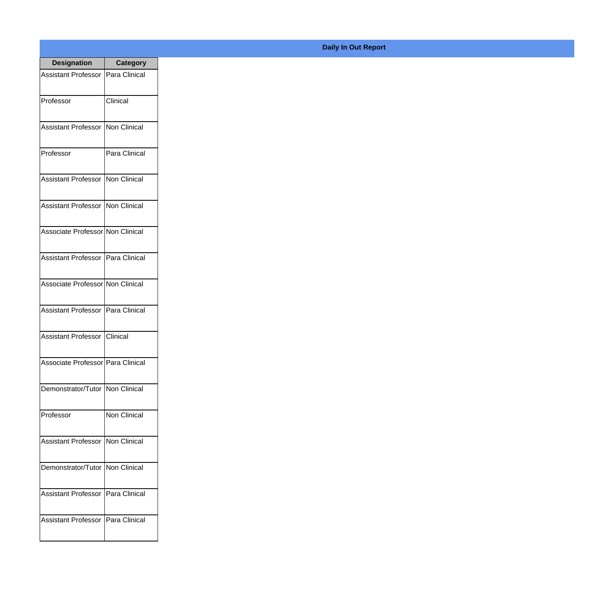| <b>Designation</b>                  | <b>Category</b>     |
|-------------------------------------|---------------------|
| <b>Assistant Professor</b>          | Para Clinical       |
| Professor                           | Clinical            |
| <b>Assistant Professor</b>          | Non Clinical        |
| Professor                           | Para Clinical       |
| <b>Assistant Professor</b>          | <b>Non Clinical</b> |
| Assistant Professor   Non Clinical  |                     |
| Associate Professor Non Clinical    |                     |
| Assistant Professor   Para Clinical |                     |
| Associate Professor Non Clinical    |                     |
| <b>Assistant Professor</b>          | Para Clinical       |
| <b>Assistant Professor</b>          | Clinical            |
| Associate Professor   Para Clinical |                     |
| Demonstrator/Tutor   Non Clinical   |                     |
| Professor                           | <b>Non Clinical</b> |
| <b>Assistant Professor</b>          | Non Clinical        |
| Demonstrator/Tutor   Non Clinical   |                     |
| <b>Assistant Professor</b>          | Para Clinical       |
| Assistant Professor   Para Clinical |                     |

## **Daily In Out Report**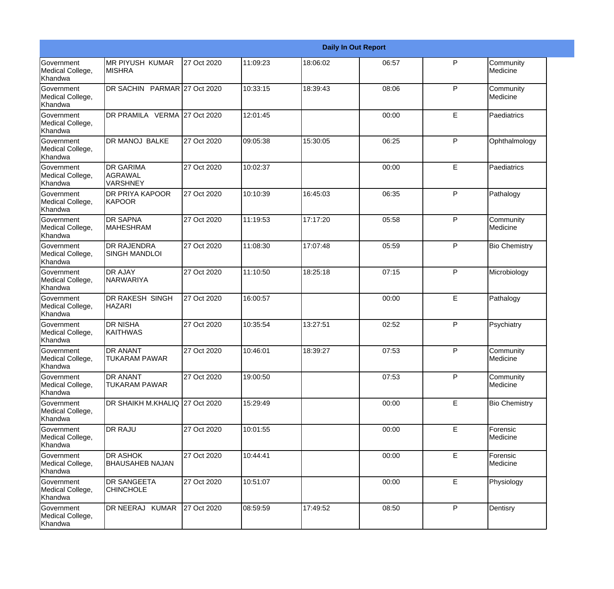|                                                  |                                                       |             |          |          | <b>Daily In Out Report</b> |              |                       |
|--------------------------------------------------|-------------------------------------------------------|-------------|----------|----------|----------------------------|--------------|-----------------------|
| Government<br>Medical College,<br>Khandwa        | <b>MR PIYUSH KUMAR</b><br><b>MISHRA</b>               | 27 Oct 2020 | 11:09:23 | 18:06:02 | 06:57                      | P            | Community<br>Medicine |
| Government<br>Medical College,<br>Khandwa        | DR SACHIN PARMAR 27 Oct 2020                          |             | 10:33:15 | 18:39:43 | 08:06                      | P            | Community<br>Medicine |
| <b>Government</b><br>Medical College,<br>Khandwa | DR PRAMILA VERMA 27 Oct 2020                          |             | 12:01:45 |          | 00:00                      | E            | Paediatrics           |
| <b>Government</b><br>Medical College,<br>Khandwa | <b>DR MANOJ BALKE</b>                                 | 27 Oct 2020 | 09:05:38 | 15:30:05 | 06:25                      | P            | Ophthalmology         |
| Government<br>Medical College,<br>Khandwa        | <b>DR GARIMA</b><br><b>AGRAWAL</b><br><b>VARSHNEY</b> | 27 Oct 2020 | 10:02:37 |          | 00:00                      | E            | Paediatrics           |
| Government<br>Medical College,<br><b>Khandwa</b> | DR PRIYA KAPOOR<br>KAPOOR                             | 27 Oct 2020 | 10:10:39 | 16:45:03 | 06:35                      | P            | Pathalogy             |
| Government<br>Medical College,<br>Khandwa        | <b>DR SAPNA</b><br><b>MAHESHRAM</b>                   | 27 Oct 2020 | 11:19:53 | 17:17:20 | 05:58                      | P            | Community<br>Medicine |
| Government<br>Medical College,<br>Khandwa        | <b>DR RAJENDRA</b><br><b>SINGH MANDLOI</b>            | 27 Oct 2020 | 11:08:30 | 17:07:48 | 05:59                      | $\mathsf{P}$ | <b>Bio Chemistry</b>  |
| Government<br>Medical College,<br>Khandwa        | <b>DR AJAY</b><br>NARWARIYA                           | 27 Oct 2020 | 11:10:50 | 18:25:18 | 07:15                      | P            | Microbiology          |
| <b>Government</b><br>Medical College,<br>Khandwa | <b>DR RAKESH SINGH</b><br><b>HAZARI</b>               | 27 Oct 2020 | 16:00:57 |          | 00:00                      | E            | Pathalogy             |
| <b>Government</b><br>Medical College,<br>Khandwa | <b>DR NISHA</b><br><b>KAITHWAS</b>                    | 27 Oct 2020 | 10:35:54 | 13:27:51 | 02:52                      | P            | Psychiatry            |
| Government<br>Medical College,<br>Khandwa        | <b>DR ANANT</b><br><b>TUKARAM PAWAR</b>               | 27 Oct 2020 | 10:46:01 | 18:39:27 | 07:53                      | P            | Community<br>Medicine |
| Government<br>Medical College,<br>Khandwa        | <b>DR ANANT</b><br>TUKARAM PAWAR                      | 27 Oct 2020 | 19:00:50 |          | 07:53                      | $\mathsf{P}$ | Community<br>Medicine |
| <b>Government</b><br>Medical College,<br>Khandwa | DR SHAIKH M.KHALIQ 27 Oct 2020                        |             | 15:29:49 |          | 00:00                      | E            | <b>Bio Chemistry</b>  |
| Government<br>Medical College,<br>Khandwa        | <b>DR RAJU</b>                                        | 27 Oct 2020 | 10:01:55 |          | 00:00                      | E            | Forensic<br>Medicine  |
| Government<br>Medical College,<br>Khandwa        | <b>DR ASHOK</b><br><b>BHAUSAHEB NAJAN</b>             | 27 Oct 2020 | 10:44:41 |          | 00:00                      | E            | Forensic<br>Medicine  |
| Government<br>Medical College,<br>Khandwa        | <b>DR SANGEETA</b><br><b>CHINCHOLE</b>                | 27 Oct 2020 | 10:51:07 |          | 00:00                      | $\mathsf E$  | Physiology            |
| Government<br>Medical College,<br>Khandwa        | DR NEERAJ KUMAR                                       | 27 Oct 2020 | 08:59:59 | 17:49:52 | 08:50                      | $\mathsf{P}$ | Dentisry              |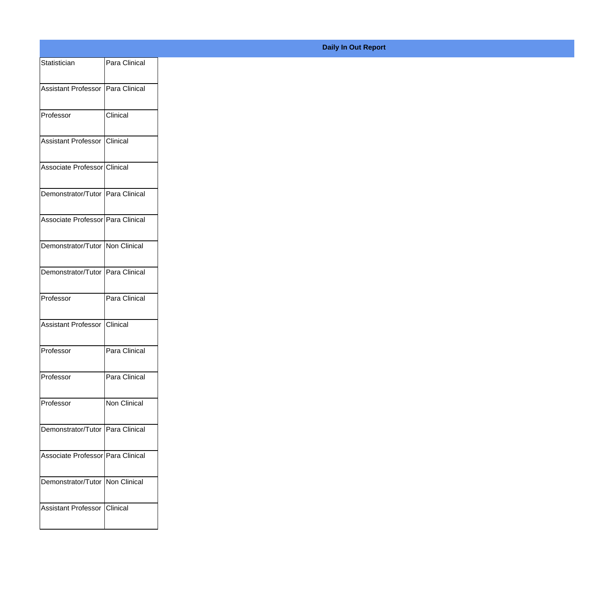| Statistician                        | Para Clinical                     |
|-------------------------------------|-----------------------------------|
| Assistant Professor   Para Clinical |                                   |
|                                     |                                   |
| Professor                           | Clinical                          |
| Assistant Professor                 | Clinical                          |
| Associate Professor Clinical        |                                   |
|                                     |                                   |
| Demonstrator/Tutor Para Clinical    |                                   |
| Associate Professor Para Clinical   |                                   |
| Demonstrator/Tutor Non Clinical     |                                   |
|                                     |                                   |
| Demonstrator/Tutor Para Clinical    |                                   |
| Professor                           | Para Clinical                     |
| Assistant Professor Clinical        |                                   |
|                                     |                                   |
| Professor                           | Para Clinical                     |
| Professor                           | Para Clinical                     |
| Professor                           | Non Clinical                      |
|                                     |                                   |
| Demonstrator/Tutor Para Clinical    |                                   |
| Associate Professor Para Clinical   |                                   |
|                                     | Demonstrator/Tutor   Non Clinical |
|                                     |                                   |
| Assistant Professor Clinical        |                                   |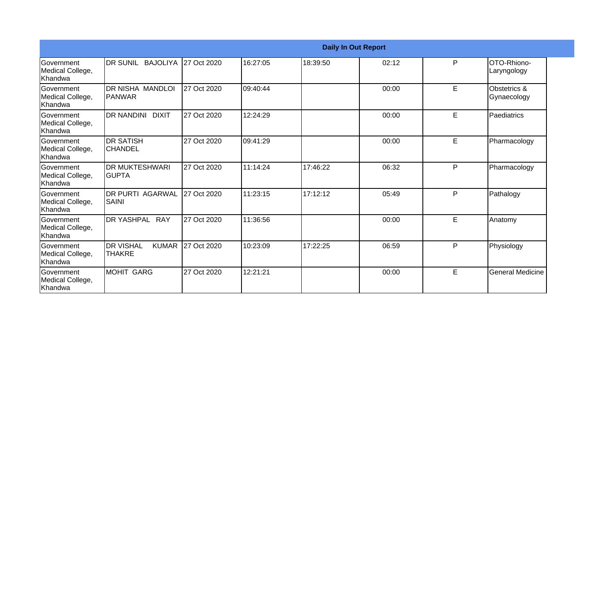|                                                  |                                                   |             |           |          | <b>Daily In Out Report</b> |   |                             |
|--------------------------------------------------|---------------------------------------------------|-------------|-----------|----------|----------------------------|---|-----------------------------|
| Government<br>Medical College,<br>Khandwa        | DR SUNIL BAJOLIYA 127 Oct 2020                    |             | 16:27:05  | 18:39:50 | 02:12                      | P | OTO-Rhiono-<br>Laryngology  |
| <b>Government</b><br>Medical College,<br>Khandwa | <b>DR NISHA MANDLOI</b><br>IPANWAR                | 27 Oct 2020 | 109:40:44 |          | 00:00                      | E | Obstetrics &<br>Gynaecology |
| Government<br>Medical College,<br>Khandwa        | DR NANDINI DIXIT                                  | 27 Oct 2020 | 12:24:29  |          | 00:00                      | E | Paediatrics                 |
| Government<br>Medical College,<br>Khandwa        | <b>DR SATISH</b><br><b>CHANDEL</b>                | 27 Oct 2020 | 109:41:29 |          | 00:00                      | E | Pharmacology                |
| Government<br>Medical College,<br>Khandwa        | <b>DR MUKTESHWARI</b><br><b>GUPTA</b>             | 27 Oct 2020 | 11:14:24  | 17:46:22 | 06:32                      | P | Pharmacology                |
| Government<br>Medical College,<br>Khandwa        | <b>DR PURTI AGARWAL</b><br>SAINI                  | 27 Oct 2020 | 11:23:15  | 17:12:12 | 05:49                      | P | Pathalogy                   |
| Government<br>Medical College,<br>Khandwa        | DR YASHPAL RAY                                    | 27 Oct 2020 | 11:36:56  |          | 00:00                      | E | Anatomy                     |
| Government<br>Medical College,<br>Khandwa        | <b>DR VISHAL</b><br><b>KUMAR</b><br><b>THAKRE</b> | 27 Oct 2020 | 10:23:09  | 17:22:25 | 06:59                      | P | Physiology                  |
| Government<br>Medical College,<br>Khandwa        | <b>MOHIT GARG</b>                                 | 27 Oct 2020 | 12:21:21  |          | 00:00                      | E | General Medicine            |